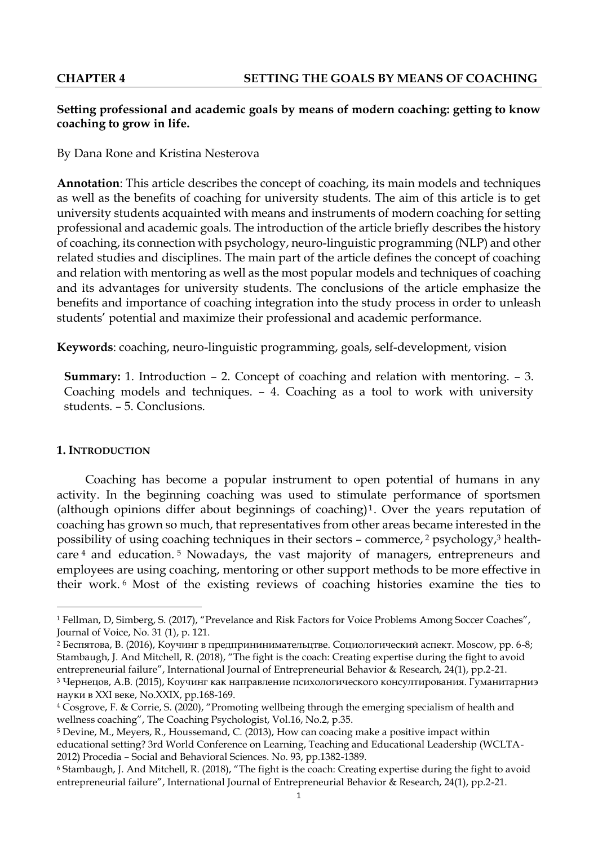# **Setting professional and academic goals by means of modern coaching: getting to know coaching to grow in life.**

By Dana Rone and Kristina Nesterova

**Annotation**: This article describes the concept of coaching, its main models and techniques as well as the benefits of coaching for university students. The aim of this article is to get university students acquainted with means and instruments of modern coaching for setting professional and academic goals. The introduction of the article briefly describes the history of coaching, its connection with psychology, neuro-linguistic programming (NLP) and other related studies and disciplines. The main part of the article defines the concept of coaching and relation with mentoring as well as the most popular models and techniques of coaching and its advantages for university students. The conclusions of the article emphasize the benefits and importance of coaching integration into the study process in order to unleash students' potential and maximize their professional and academic performance.

**Keywords**: coaching, neuro-linguistic programming, goals, self-development, vision

**Summary:** 1. Introduction – 2. Concept of coaching and relation with mentoring. – 3. Coaching models and techniques. – 4. Coaching as a tool to work with university students. – 5. Conclusions.

# **1. INTRODUCTION**

1

Coaching has become a popular instrument to open potential of humans in any activity. In the beginning coaching was used to stimulate performance of sportsmen (although opinions differ about beginnings of coaching)<sup>1</sup>. Over the years reputation of coaching has grown so much, that representatives from other areas became interested in the possibility of using coaching techniques in their sectors – commerce, <sup>2</sup> psychology,<sup>3</sup> healthcare <sup>4</sup> and education. <sup>5</sup> Nowadays, the vast majority of managers, entrepreneurs and employees are using coaching, mentoring or other support methods to be more effective in their work. <sup>6</sup> Most of the existing reviews of coaching histories examine the ties to

<sup>2</sup> Беспятова, В. (2016), Коучинг в предпрининимательцтве. Социологический аспект. Moscow, pp. 6-8; Stambaugh, J. And Mitchell, R. (2018), "The fight is the coach: Creating expertise during the fight to avoid entrepreneurial failure", International Journal of Entrepreneurial Behavior & Research, 24(1), pp.2-21.

<sup>1</sup> Fellman, D, Simberg, S. (2017), "Prevelance and Risk Factors for Voice Problems Among Soccer Coaches", Journal of Voice, No. 31 (1), p. 121.

<sup>3</sup> Чернецов, А.В. (2015), Коучинг как направление психологического консултирования. Гуманитарниэ науки в ХХI веке, No.XXIX, pp.168-169.

<sup>4</sup> Cosgrove, F. & Corrie, S. (2020), "Promoting wellbeing through the emerging specialism of health and wellness coaching", The Coaching Psychologist, Vol.16, No.2, p.35.

<sup>5</sup> Devine, M., Meyers, R., Houssemand, C. (2013), How can coacing make a positive impact within educational setting? 3rd World Conference on Learning, Teaching and Educational Leadership (WCLTA-2012) Procedia – Social and Behavioral Sciences. No. 93, pp.1382-1389.

<sup>6</sup> Stambaugh, J. And Mitchell, R. (2018), "The fight is the coach: Creating expertise during the fight to avoid entrepreneurial failure", International Journal of Entrepreneurial Behavior & Research, 24(1), pp.2-21.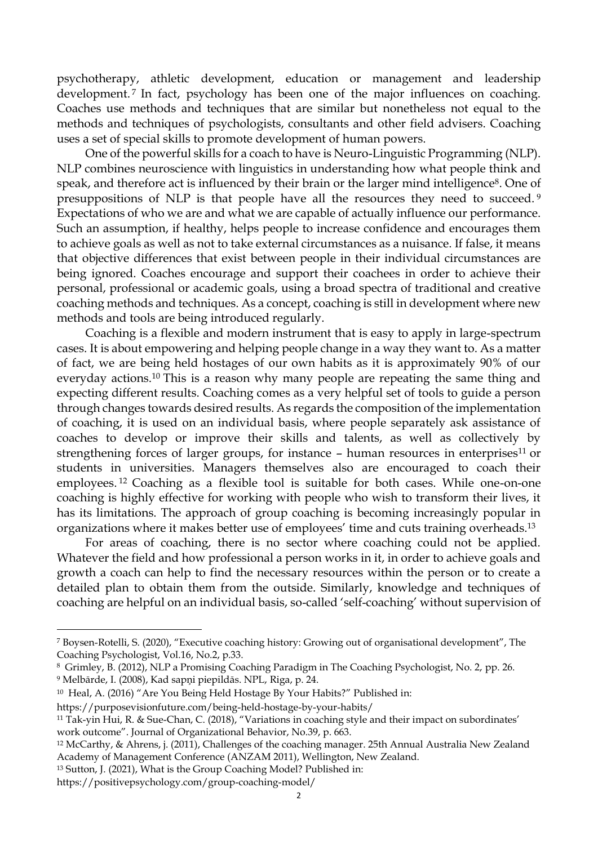psychotherapy, athletic development, education or management and leadership development.<sup>7</sup> In fact, psychology has been one of the major influences on coaching. Coaches use methods and techniques that are similar but nonetheless not equal to the methods and techniques of psychologists, consultants and other field advisers. Coaching uses a set of special skills to promote development of human powers.

One of the powerful skills for a coach to have is Neuro-Linguistic Programming (NLP). NLP combines neuroscience with linguistics in understanding how what people think and speak, and therefore act is influenced by their brain or the larger mind intelligence<sup>8</sup>. One of presuppositions of NLP is that people have all the resources they need to succeed. <sup>9</sup> Expectations of who we are and what we are capable of actually influence our performance. Such an assumption, if healthy, helps people to increase confidence and encourages them to achieve goals as well as not to take external circumstances as a nuisance. If false, it means that objective differences that exist between people in their individual circumstances are being ignored. Coaches encourage and support their coachees in order to achieve their personal, professional or academic goals, using a broad spectra of traditional and creative coaching methods and techniques. As a concept, coaching is still in development where new methods and tools are being introduced regularly.

Coaching is a flexible and modern instrument that is easy to apply in large-spectrum cases. It is about empowering and helping people change in a way they want to. As a matter of fact, we are being held hostages of our own habits as it is approximately 90% of our everyday actions.<sup>10</sup> This is a reason why many people are repeating the same thing and expecting different results. Coaching comes as a very helpful set of tools to guide a person through changes towards desired results. As regards the composition of the implementation of coaching, it is used on an individual basis, where people separately ask assistance of coaches to develop or improve their skills and talents, as well as collectively by strengthening forces of larger groups, for instance – human resources in enterprises<sup>11</sup> or students in universities. Managers themselves also are encouraged to coach their employees. <sup>12</sup> Coaching as a flexible tool is suitable for both cases. While one-on-one coaching is highly effective for working with people who wish to transform their lives, it has its limitations. The approach of group coaching is becoming increasingly popular in organizations where it makes better use of employees' time and cuts training overheads.<sup>13</sup>

For areas of coaching, there is no sector where coaching could not be applied. Whatever the field and how professional a person works in it, in order to achieve goals and growth a coach can help to find the necessary resources within the person or to create a detailed plan to obtain them from the outside. Similarly, knowledge and techniques of coaching are helpful on an individual basis, so-called 'self-coaching' without supervision of

<sup>9</sup> Melbārde, I. (2008), Kad sapņi piepildās. NPL, Riga, p. 24.

**.** 

<sup>7</sup> Boysen-Rotelli, S. (2020), "Executive coaching history: Growing out of organisational development", The Coaching Psychologist, Vol.16, No.2, p.33.

<sup>8</sup> Grimley, B. (2012), NLP a Promising Coaching Paradigm in The Coaching Psychologist, No. 2, pp. 26.

<sup>10</sup> [Heal,](https://purposevisionfuture.com/author/504amandah/) A. (2016) "[Are You Being Held Hostage By Your Habits?](https://purposevisionfuture.com/being-held-hostage-by-your-habits/)" Published in:

[https://purposevisionfuture.com/being-held-hostage-by-your-habits/](https://purposevisionfuture.com/being-held-hostage-by-your-habits/?fbclid=IwAR2ca8xav5zMQhrZH8amxLQ7UgYPlYQO5ai39zSbkGicQ_NRcGtflUa5QxQ)

<sup>11</sup> Tak-yin Hui, R. & Sue-Chan, C. (2018), "Variations in coaching style and their impact on subordinates' work outcome". Journal of Organizational Behavior, No.39, p. 663.

<sup>12</sup> McCarthy, & Ahrens, j. (2011), Challenges of the coaching manager. 25th Annual Australia New Zealand Academy of Management Conference (ANZAM 2011), Wellington, New Zealand.

<sup>13</sup> Sutton, J. (2021), What is the Group Coaching Model? Published in:

https://positivepsychology.com/group-coaching-model/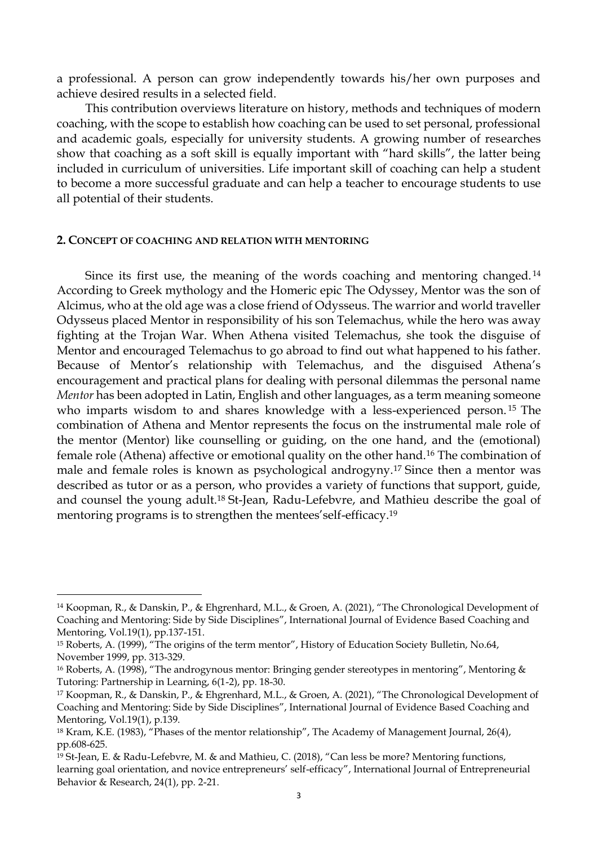a professional. A person can grow independently towards his/her own purposes and achieve desired results in a selected field.

This contribution overviews literature on history, methods and techniques of modern coaching, with the scope to establish how coaching can be used to set personal, professional and academic goals, especially for university students. A growing number of researches show that coaching as a soft skill is equally important with "hard skills", the latter being included in curriculum of universities. Life important skill of coaching can help a student to become a more successful graduate and can help a teacher to encourage students to use all potential of their students.

### **2. CONCEPT OF COACHING AND RELATION WITH MENTORING**

**.** 

Since its first use, the meaning of the words coaching and mentoring changed. <sup>14</sup> According to Greek mythology and the Homeric epic The Odyssey, Mentor was the son of Alcimus, who at the old age was a close friend of Odysseus. The warrior and world traveller Odysseus placed Mentor in responsibility of his son Telemachus, while the hero was away fighting at the Trojan War. When Athena visited Telemachus, she took the disguise of Mentor and encouraged Telemachus to go abroad to find out what happened to his father. Because of Mentor's relationship with Telemachus, and the disguised Athena's encouragement and practical plans for dealing with personal dilemmas the personal name *Mentor* has been adopted in Latin, English and other languages, as a term meaning someone who imparts wisdom to and shares knowledge with a less-experienced person. <sup>15</sup> The combination of Athena and Mentor represents the focus on the instrumental male role of the mentor (Mentor) like counselling or guiding, on the one hand, and the (emotional) female role (Athena) affective or emotional quality on the other hand.<sup>16</sup> The combination of male and female roles is known as psychological androgyny.<sup>17</sup> Since then a mentor was described as tutor or as a person, who provides a variety of functions that support, guide, and counsel the young adult.<sup>18</sup> St-Jean, Radu-Lefebvre, and Mathieu describe the goal of mentoring programs is to strengthen the mentees'self-efficacy.<sup>19</sup>

<sup>14</sup> Koopman, R., & Danskin, P., & Ehgrenhard, M.L., & Groen, A. (2021), "The Chronological Development of Coaching and Mentoring: Side by Side Disciplines", International Journal of Evidence Based Coaching and Mentoring, Vol.19(1), pp.137-151.

<sup>15</sup> Roberts, A. (1999), "The origins of the term mentor", History of Education Society Bulletin, No.64, November 1999, pp. 313-329.

<sup>&</sup>lt;sup>16</sup> Roberts, A. (1998), "The androgynous mentor: Bringing gender stereotypes in mentoring", Mentoring & Tutoring: Partnership in Learning, 6(1-2), pp. 18-30.

<sup>17</sup> Koopman, R., & Danskin, P., & Ehgrenhard, M.L., & Groen, A. (2021), "The Chronological Development of Coaching and Mentoring: Side by Side Disciplines", International Journal of Evidence Based Coaching and Mentoring, Vol.19(1), p.139.

<sup>18</sup> Kram, K.E. (1983), "Phases of the mentor relationship", The Academy of Management Journal, 26(4), pp.608-625.

<sup>19</sup> St-Jean, E. & Radu-Lefebvre, M. & and Mathieu, C. (2018), "Can less be more? Mentoring functions, learning goal orientation, and novice entrepreneurs' self-efficacy", International Journal of Entrepreneurial Behavior & Research, 24(1), pp. 2-21.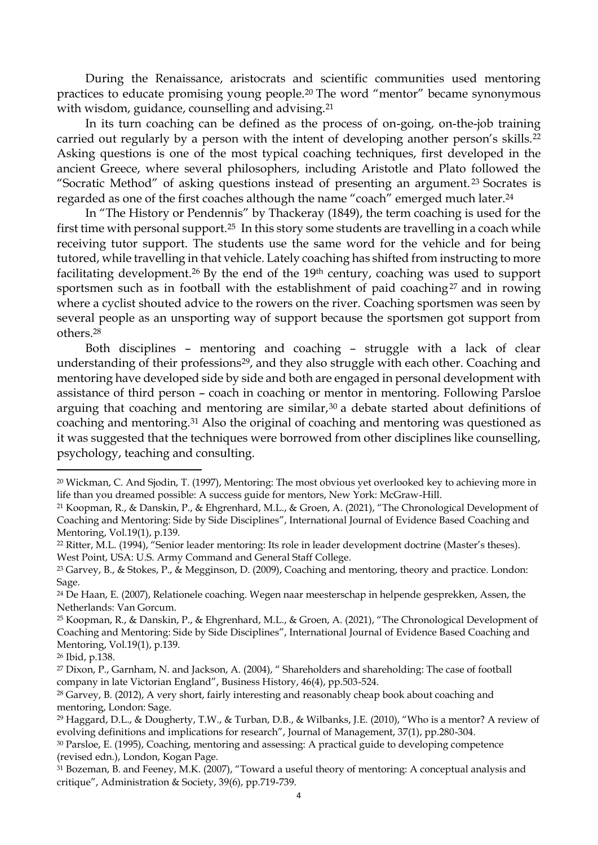During the Renaissance, aristocrats and scientific communities used mentoring practices to educate promising young people.<sup>20</sup> The word "mentor" became synonymous with wisdom, guidance, counselling and advising.<sup>21</sup>

In its turn coaching can be defined as the process of on-going, on-the-job training carried out regularly by a person with the intent of developing another person's skills.<sup>22</sup> Asking questions is one of the most typical coaching techniques, first developed in the ancient Greece, where several philosophers, including Aristotle and Plato followed the "Socratic Method" of asking questions instead of presenting an argument. <sup>23</sup> Socrates is regarded as one of the first coaches although the name "coach" emerged much later.<sup>24</sup>

In "The History or Pendennis" by Thackeray (1849), the term coaching is used for the first time with personal support.25 In this story some students are travelling in a coach while receiving tutor support. The students use the same word for the vehicle and for being tutored, while travelling in that vehicle. Lately coaching has shifted from instructing to more facilitating development.<sup>26</sup> By the end of the 19th century, coaching was used to support sportsmen such as in football with the establishment of paid coaching<sup>27</sup> and in rowing where a cyclist shouted advice to the rowers on the river. Coaching sportsmen was seen by several people as an unsporting way of support because the sportsmen got support from others.<sup>28</sup>

Both disciplines – mentoring and coaching – struggle with a lack of clear understanding of their professions<sup>29</sup>, and they also struggle with each other. Coaching and mentoring have developed side by side and both are engaged in personal development with assistance of third person – coach in coaching or mentor in mentoring. Following Parsloe arguing that coaching and mentoring are similar, $30$  a debate started about definitions of coaching and mentoring.<sup>31</sup> Also the original of coaching and mentoring was questioned as it was suggested that the techniques were borrowed from other disciplines like counselling, psychology, teaching and consulting.

**.** 

<sup>20</sup> Wickman, C. And Sjodin, T. (1997), Mentoring: The most obvious yet overlooked key to achieving more in life than you dreamed possible: A success guide for mentors, New York: McGraw-Hill.

<sup>21</sup> Koopman, R., & Danskin, P., & Ehgrenhard, M.L., & Groen, A. (2021), "The Chronological Development of Coaching and Mentoring: Side by Side Disciplines", International Journal of Evidence Based Coaching and Mentoring, Vol.19(1), p.139.

<sup>22</sup> Ritter, M.L. (1994), "Senior leader mentoring: Its role in leader development doctrine (Master's theses). West Point, USA: U.S. Army Command and General Staff College.

<sup>23</sup> Garvey, B., & Stokes, P., & Megginson, D. (2009), Coaching and mentoring, theory and practice. London: Sage.

<sup>24</sup> De Haan, E. (2007), Relationele coaching. Wegen naar meesterschap in helpende gesprekken, Assen, the Netherlands: Van Gorcum.

<sup>25</sup> Koopman, R., & Danskin, P., & Ehgrenhard, M.L., & Groen, A. (2021), "The Chronological Development of Coaching and Mentoring: Side by Side Disciplines", International Journal of Evidence Based Coaching and Mentoring, Vol.19(1), p.139.

<sup>26</sup> Ibid, p.138.

<sup>&</sup>lt;sup>27</sup> Dixon, P., Garnham, N. and Jackson, A. (2004), " Shareholders and shareholding: The case of football company in late Victorian England", Business History, 46(4), pp.503-524.

<sup>28</sup> Garvey, B. (2012), A very short, fairly interesting and reasonably cheap book about coaching and mentoring, London: Sage.

<sup>29</sup> Haggard, D.L., & Dougherty, T.W., & Turban, D.B., & Wilbanks, J.E. (2010), "Who is a mentor? A review of evolving definitions and implications for research", Journal of Management, 37(1), pp.280-304.

<sup>30</sup> Parsloe, E. (1995), Coaching, mentoring and assessing: A practical guide to developing competence (revised edn.), London, Kogan Page.

<sup>31</sup> Bozeman, B. and Feeney, M.K. (2007), "Toward a useful theory of mentoring: A conceptual analysis and critique", Administration & Society, 39(6), pp.719-739.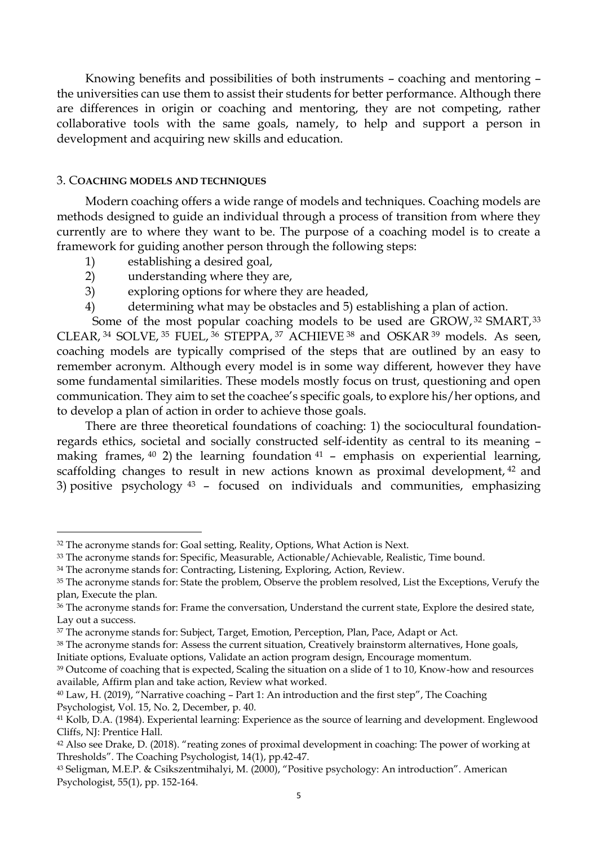Knowing benefits and possibilities of both instruments – coaching and mentoring – the universities can use them to assist their students for better performance. Although there are differences in origin or coaching and mentoring, they are not competing, rather collaborative tools with the same goals, namely, to help and support a person in development and acquiring new skills and education.

# 3. C**OACHING MODELS AND TECHNIQUES**

Modern coaching offers a wide range of models and techniques. Coaching models are methods designed to guide an individual through a process of transition from where they currently are to where they want to be. The purpose of a coaching model is to create a framework for guiding another person through the following steps:

1) establishing a desired goal,

1

- 2) understanding where they are,
- 3) exploring options for where they are headed,
- 4) determining what may be obstacles and 5) establishing a plan of action.

Some of the most popular coaching models to be used are GROW, 32 SMART, 33 CLEAR, <sup>34</sup> SOLVE, <sup>35</sup> FUEL, <sup>36</sup> STEPPA, <sup>37</sup> ACHIEVE <sup>38</sup> and OSKAR <sup>39</sup> models. As seen, coaching models are typically comprised of the steps that are outlined by an easy to remember acronym. Although every model is in some way different, however they have some fundamental similarities. These models mostly focus on trust, questioning and open communication. They aim to set the coachee's specific goals, to explore his/her options, and to develop a plan of action in order to achieve those goals.

There are three theoretical foundations of coaching: 1) the sociocultural foundationregards ethics, societal and socially constructed self-identity as central to its meaning – making frames,  $40$  2) the learning foundation  $41$  – emphasis on experiential learning, scaffolding changes to result in new actions known as proximal development, <sup>42</sup> and 3) positive psychology <sup>43</sup> – focused on individuals and communities, emphasizing

<sup>&</sup>lt;sup>32</sup> The acronyme stands for: Goal setting, Reality, Options, What Action is Next.

<sup>&</sup>lt;sup>33</sup> The acronyme stands for: Specific, Measurable, Actionable/Achievable, Realistic, Time bound.

<sup>&</sup>lt;sup>34</sup> The acronyme stands for: Contracting, Listening, Exploring, Action, Review.

<sup>&</sup>lt;sup>35</sup> The acronyme stands for: State the problem, Observe the problem resolved, List the Exceptions, Verufy the plan, Execute the plan.

<sup>36</sup> The acronyme stands for: Frame the conversation, Understand the current state, Explore the desired state, Lay out a success.

<sup>&</sup>lt;sup>37</sup> The acronyme stands for: Subject, Target, Emotion, Perception, Plan, Pace, Adapt or Act.

<sup>38</sup> The acronyme stands for: Assess the current situation, Creatively brainstorm alternatives, Hone goals, Initiate options, Evaluate options, Validate an action program design, Encourage momentum.

<sup>&</sup>lt;sup>39</sup> Outcome of coaching that is expected, Scaling the situation on a slide of 1 to 10, Know-how and resources available, Affirm plan and take action, Review what worked.

<sup>40</sup> Law, H. (2019), "Narrative coaching – Part 1: An introduction and the first step", The Coaching Psychologist, Vol. 15, No. 2, December, p. 40.

<sup>41</sup> Kolb, D.A. (1984). Experiental learning: Experience as the source of learning and development. Englewood Cliffs, NJ: Prentice Hall.

<sup>42</sup> Also see Drake, D. (2018). "reating zones of proximal development in coaching: The power of working at Thresholds". The Coaching Psychologist, 14(1), pp.42-47.

<sup>43</sup> Seligman, M.E.P. & Csikszentmihalyi, M. (2000), "Positive psychology: An introduction". American Psychologist, 55(1), pp. 152-164.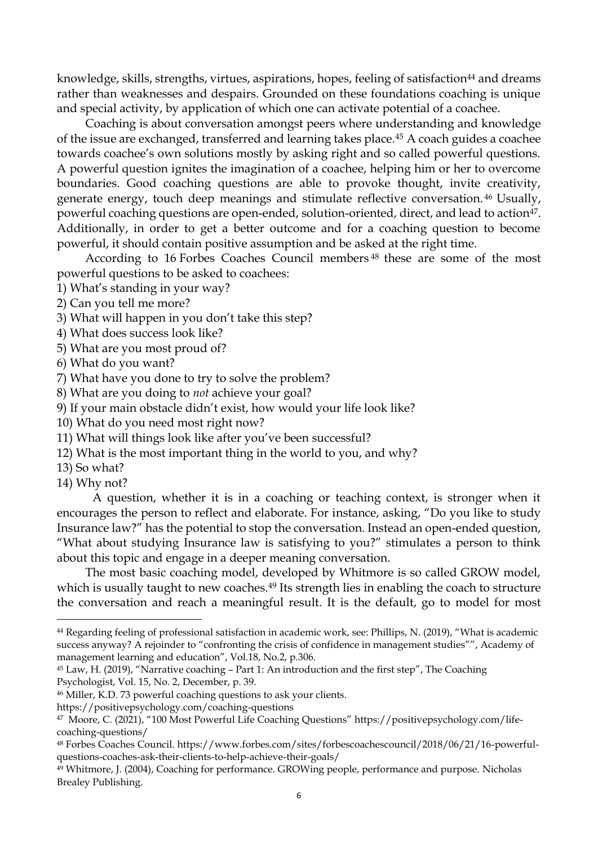knowledge, skills, strengths, virtues, aspirations, hopes, feeling of satisfaction<sup>44</sup> and dreams rather than weaknesses and despairs. Grounded on these foundations coaching is unique and special activity, by application of which one can activate potential of a coachee.

Coaching is about conversation amongst peers where understanding and knowledge of the issue are exchanged, transferred and learning takes place.<sup>45</sup> A coach guides a coachee towards coachee's own solutions mostly by asking right and so called powerful questions. A powerful question ignites the imagination of a coachee, helping him or her to overcome boundaries. Good coaching questions are able to provoke thought, invite creativity, generate energy, touch deep meanings and stimulate reflective conversation. <sup>46</sup> Usually, powerful coaching questions are open-ended, solution-oriented, direct, and lead to action<sup>47</sup>. Additionally, in order to get a better outcome and for a coaching question to become powerful, it should contain positive assumption and be asked at the right time.

According to 16 Forbes Coaches Council members <sup>48</sup> these are some of the most powerful questions to be asked to coachees:

- 1) What's standing in your way?
- 2) Can you tell me more?
- 3) What will happen in you don't take this step?
- 4) What does success look like?
- 5) What are you most proud of?
- 6) What do you want?
- 7) What have you done to try to solve the problem?
- 8) What are you doing to *not* achieve your goal?
- 9) If your main obstacle didn't exist, how would your life look like?
- 10) What do you need most right now?
- 11) What will things look like after you've been successful?
- 12) What is the most important thing in the world to you, and why?
- 13) So what?
- 14) Why not?

1

A question, whether it is in a coaching or teaching context, is stronger when it encourages the person to reflect and elaborate. For instance, asking, "Do you like to study Insurance law?" has the potential to stop the conversation. Instead an open-ended question, "What about studying Insurance law is satisfying to you?" stimulates a person to think about this topic and engage in a deeper meaning conversation.

The most basic coaching model, developed by Whitmore is so called GROW model, which is usually taught to new coaches.<sup>49</sup> Its strength lies in enabling the coach to structure the conversation and reach a meaningful result. It is the default, go to model for most

<sup>46</sup> Miller, K.D. 73 powerful coaching questions to ask your clients.

<sup>44</sup> Regarding feeling of professional satisfaction in academic work, see: Phillips, N. (2019), "What is academic success anyway? A rejoinder to "confronting the crisis of confidence in management studies"", Academy of management learning and education", Vol.18, No.2, p.306.

<sup>45</sup> Law, H. (2019), "Narrative coaching – Part 1: An introduction and the first step", The Coaching Psychologist, Vol. 15, No. 2, December, p. 39.

https://positivepsychology.com/coaching-questions

<sup>47</sup> Moore, C. (2021), "100 Most Powerful Life Coaching Questions" https://positivepsychology.com/lifecoaching-questions/

<sup>48</sup> Forbes Coaches Council. https://www.forbes.com/sites/forbescoachescouncil/2018/06/21/16-powerfulquestions-coaches-ask-their-clients-to-help-achieve-their-goals/

<sup>49</sup> Whitmore, J. (2004), Coaching for performance. GROWing people, performance and purpose. Nicholas Brealey Publishing.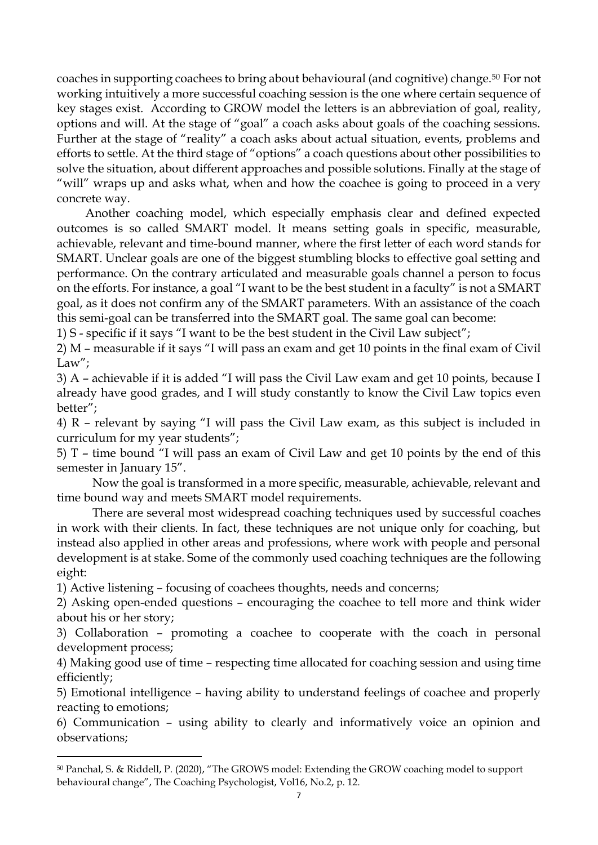coaches in supporting coachees to bring about behavioural (and cognitive) change.<sup>50</sup> For not working intuitively a more successful coaching session is the one where certain sequence of key stages exist. According to GROW model the letters is an abbreviation of goal, reality, options and will. At the stage of "goal" a coach asks about goals of the coaching sessions. Further at the stage of "reality" a coach asks about actual situation, events, problems and efforts to settle. At the third stage of "options" a coach questions about other possibilities to solve the situation, about different approaches and possible solutions. Finally at the stage of "will" wraps up and asks what, when and how the coachee is going to proceed in a very concrete way.

Another coaching model, which especially emphasis clear and defined expected outcomes is so called SMART model. It means setting goals in specific, measurable, achievable, relevant and time-bound manner, where the first letter of each word stands for SMART. Unclear goals are one of the biggest stumbling blocks to effective goal setting and performance. On the contrary articulated and measurable goals channel a person to focus on the efforts. For instance, a goal "I want to be the best student in a faculty" is not a SMART goal, as it does not confirm any of the SMART parameters. With an assistance of the coach this semi-goal can be transferred into the SMART goal. The same goal can become:

1) S - specific if it says "I want to be the best student in the Civil Law subject";

2) M – measurable if it says "I will pass an exam and get 10 points in the final exam of Civil Law":

3) A – achievable if it is added "I will pass the Civil Law exam and get 10 points, because I already have good grades, and I will study constantly to know the Civil Law topics even better";

4) R – relevant by saying "I will pass the Civil Law exam, as this subject is included in curriculum for my year students";

5) T – time bound "I will pass an exam of Civil Law and get 10 points by the end of this semester in January 15".

Now the goal is transformed in a more specific, measurable, achievable, relevant and time bound way and meets SMART model requirements.

There are several most widespread coaching techniques used by successful coaches in work with their clients. In fact, these techniques are not unique only for coaching, but instead also applied in other areas and professions, where work with people and personal development is at stake. Some of the commonly used coaching techniques are the following eight:

1) Active listening – focusing of coachees thoughts, needs and concerns;

**.** 

2) Asking open-ended questions – encouraging the coachee to tell more and think wider about his or her story;

3) Collaboration – promoting a coachee to cooperate with the coach in personal development process;

4) Making good use of time – respecting time allocated for coaching session and using time efficiently;

5) Emotional intelligence – having ability to understand feelings of coachee and properly reacting to emotions;

6) Communication – using ability to clearly and informatively voice an opinion and observations;

<sup>50</sup> Panchal, S. & Riddell, P. (2020), "The GROWS model: Extending the GROW coaching model to support behavioural change", The Coaching Psychologist, Vol16, No.2, p. 12.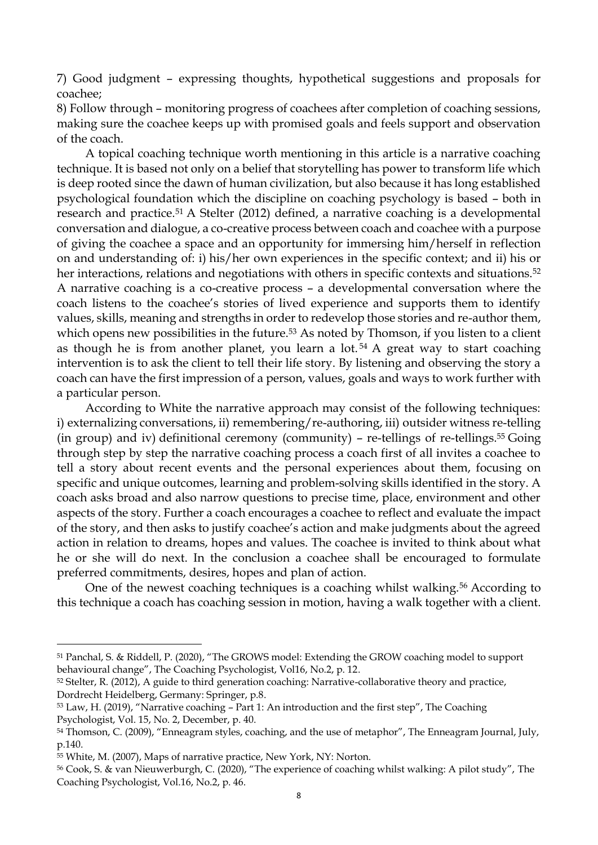7) Good judgment – expressing thoughts, hypothetical suggestions and proposals for coachee;

8) Follow through – monitoring progress of coachees after completion of coaching sessions, making sure the coachee keeps up with promised goals and feels support and observation of the coach.

A topical coaching technique worth mentioning in this article is a narrative coaching technique. It is based not only on a belief that storytelling has power to transform life which is deep rooted since the dawn of human civilization, but also because it has long established psychological foundation which the discipline on coaching psychology is based – both in research and practice.<sup>51</sup> A Stelter (2012) defined, a narrative coaching is a developmental conversation and dialogue, a co-creative process between coach and coachee with a purpose of giving the coachee a space and an opportunity for immersing him/herself in reflection on and understanding of: i) his/her own experiences in the specific context; and ii) his or her interactions, relations and negotiations with others in specific contexts and situations.<sup>52</sup> A narrative coaching is a co-creative process – a developmental conversation where the coach listens to the coachee's stories of lived experience and supports them to identify values, skills, meaning and strengths in order to redevelop those stories and re-author them, which opens new possibilities in the future.<sup>53</sup> As noted by Thomson, if you listen to a client as though he is from another planet, you learn a lot. <sup>54</sup> A great way to start coaching intervention is to ask the client to tell their life story. By listening and observing the story a coach can have the first impression of a person, values, goals and ways to work further with a particular person.

According to White the narrative approach may consist of the following techniques: i) externalizing conversations, ii) remembering/re-authoring, iii) outsider witness re-telling (in group) and iv) definitional ceremony (community) – re-tellings of re-tellings.<sup>55</sup> Going through step by step the narrative coaching process a coach first of all invites a coachee to tell a story about recent events and the personal experiences about them, focusing on specific and unique outcomes, learning and problem-solving skills identified in the story. A coach asks broad and also narrow questions to precise time, place, environment and other aspects of the story. Further a coach encourages a coachee to reflect and evaluate the impact of the story, and then asks to justify coachee's action and make judgments about the agreed action in relation to dreams, hopes and values. The coachee is invited to think about what he or she will do next. In the conclusion a coachee shall be encouraged to formulate preferred commitments, desires, hopes and plan of action.

One of the newest coaching techniques is a coaching whilst walking.<sup>56</sup> According to this technique a coach has coaching session in motion, having a walk together with a client.

 $\overline{a}$ 

<sup>51</sup> Panchal, S. & Riddell, P. (2020), "The GROWS model: Extending the GROW coaching model to support behavioural change", The Coaching Psychologist, Vol16, No.2, p. 12.

<sup>52</sup> Stelter, R. (2012), A guide to third generation coaching: Narrative-collaborative theory and practice, Dordrecht Heidelberg, Germany: Springer, p.8.

<sup>53</sup> Law, H. (2019), "Narrative coaching – Part 1: An introduction and the first step", The Coaching Psychologist, Vol. 15, No. 2, December, p. 40.

<sup>&</sup>lt;sup>54</sup> Thomson, C. (2009), "Enneagram styles, coaching, and the use of metaphor", The Enneagram Journal, July, p.140.

<sup>55</sup> White, M. (2007), Maps of narrative practice, New York, NY: Norton.

<sup>56</sup> Cook, S. & van Nieuwerburgh, C. (2020), "The experience of coaching whilst walking: A pilot study", The Coaching Psychologist, Vol.16, No.2, p. 46.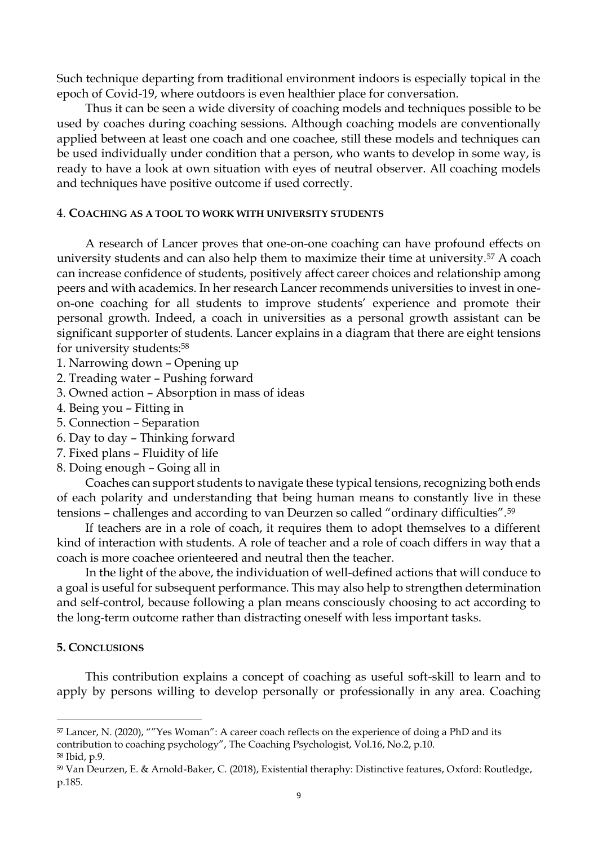Such technique departing from traditional environment indoors is especially topical in the epoch of Covid-19, where outdoors is even healthier place for conversation.

Thus it can be seen a wide diversity of coaching models and techniques possible to be used by coaches during coaching sessions. Although coaching models are conventionally applied between at least one coach and one coachee, still these models and techniques can be used individually under condition that a person, who wants to develop in some way, is ready to have a look at own situation with eyes of neutral observer. All coaching models and techniques have positive outcome if used correctly.

# 4. **COACHING AS A TOOL TO WORK WITH UNIVERSITY STUDENTS**

A research of Lancer proves that one-on-one coaching can have profound effects on university students and can also help them to maximize their time at university.<sup>57</sup> A coach can increase confidence of students, positively affect career choices and relationship among peers and with academics. In her research Lancer recommends universities to invest in oneon-one coaching for all students to improve students' experience and promote their personal growth. Indeed, a coach in universities as a personal growth assistant can be significant supporter of students. Lancer explains in a diagram that there are eight tensions for university students:<sup>58</sup>

- 1. Narrowing down Opening up
- 2. Treading water Pushing forward
- 3. Owned action Absorption in mass of ideas
- 4. Being you Fitting in
- 5. Connection Separation
- 6. Day to day Thinking forward
- 7. Fixed plans Fluidity of life
- 8. Doing enough Going all in

Coaches can support students to navigate these typical tensions, recognizing both ends of each polarity and understanding that being human means to constantly live in these tensions – challenges and according to van Deurzen so called "ordinary difficulties".<sup>59</sup>

If teachers are in a role of coach, it requires them to adopt themselves to a different kind of interaction with students. A role of teacher and a role of coach differs in way that a coach is more coachee orienteered and neutral then the teacher.

In the light of the above, the individuation of well-defined actions that will conduce to a goal is useful for subsequent performance. This may also help to strengthen determination and self-control, because following a plan means consciously choosing to act according to the long-term outcome rather than distracting oneself with less important tasks.

## **5. CONCLUSIONS**

This contribution explains a concept of coaching as useful soft-skill to learn and to apply by persons willing to develop personally or professionally in any area. Coaching

**.** 

<sup>57</sup> Lancer, N. (2020), ""Yes Woman": A career coach reflects on the experience of doing a PhD and its contribution to coaching psychology", The Coaching Psychologist, Vol.16, No.2, p.10.

<sup>58</sup> Ibid, p.9.

<sup>59</sup> Van Deurzen, E. & Arnold-Baker, C. (2018), Existential theraphy: Distinctive features, Oxford: Routledge, p.185.